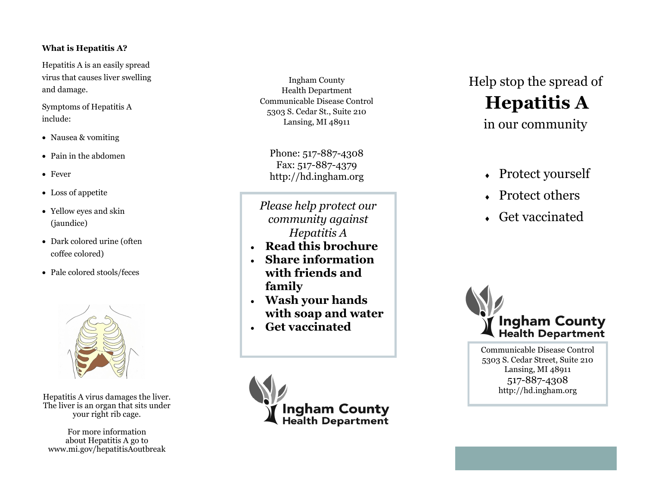### **What is Hepatitis A?**

Hepatitis A is an easily spread virus that causes liver swelling and damage.

Symptoms of Hepatitis A include:

- Nausea & vomiting
- Pain in the abdomen
- Fever
- Loss of appetite
- Yellow eyes and skin (jaundice)
- Dark colored urine (often coffee colored)
- Pale colored stools/feces



Hepatitis A virus damages the liver. The liver is an organ that sits under your right rib cage.

For more information about Hepatitis A go to www.mi.gov/hepatitisAoutbreak

Ingham County Health Department Communicable Disease Control 5303 S. Cedar St., Suite 210 Lansing, MI 48911

Phone: 517-887-4308 Fax: 517-887-4379 http://hd.ingham.org

*Please help protect our community against Hepatitis A* 

- **Read this brochure**
- **Share information with friends and family**
- **Wash your hands with soap and water**
- **Get vaccinated**



Help stop the spread of **Hepatitis A**  in our community

- Protect yourself
- Protect others
- Get vaccinated



Communicable Disease Control 5303 S. Cedar Street, Suite 210 Lansing, MI 48911 517 -887 -4308 http://hd.ingham.org